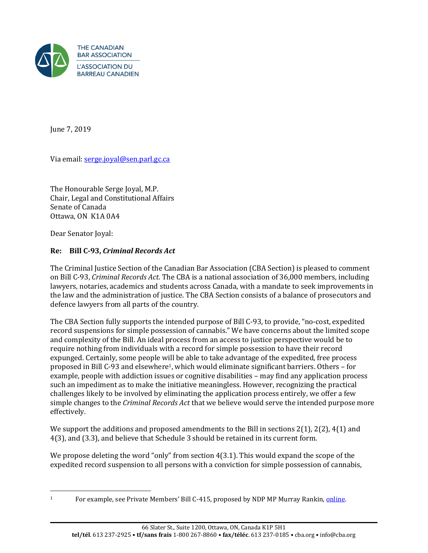

June 7, 2019

Via email[: serge.joyal@sen.parl.gc.ca](mailto:serge.joyal@sen.parl.gc.ca)

The Honourable Serge Joyal, M.P. Chair, Legal and Constitutional Affairs Senate of Canada Ottawa, ON K1A 0A4

Dear Senator Joyal:

# **Re: Bill C-93,** *Criminal Records Act*

The Criminal Justice Section of the Canadian Bar Association (CBA Section) is pleased to comment on Bill C-93, *Criminal Records Act*. The CBA is a national association of 36,000 members, including lawyers, notaries, academics and students across Canada, with a mandate to seek improvements in the law and the administration of justice. The CBA Section consists of a balance of prosecutors and defence lawyers from all parts of the country.

The CBA Section fully supports the intended purpose of Bill C-93, to provide, "no-cost, expedited record suspensions for simple possession of cannabis." We have concerns about the limited scope and complexity of the Bill. An ideal process from an access to justice perspective would be to require nothing from individuals with a record for simple possession to have their record expunged. Certainly, some people will be able to take advantage of the expedited, free process proposed in Bill C-93 and elsewhere1, which would eliminate significant barriers. Others – for example, people with addiction issues or cognitive disabilities – may find any application process such an impediment as to make the initiative meaningless. However, recognizing the practical challenges likely to be involved by eliminating the application process entirely, we offer a few simple changes to the *Criminal Records Act* that we believe would serve the intended purpose more effectively.

We support the additions and proposed amendments to the Bill in sections  $2(1)$ ,  $2(2)$ ,  $4(1)$  and 4(3), and (3.3), and believe that Schedule 3 should be retained in its current form.

We propose deleting the word "only" from section 4(3.1). This would expand the scope of the expedited record suspension to all persons with a conviction for simple possession of cannabis,

 $\overline{a}$ 

<sup>&</sup>lt;sup>1</sup> For example, see Private Members' Bill C-415, proposed by NDP MP Murray Rankin, online.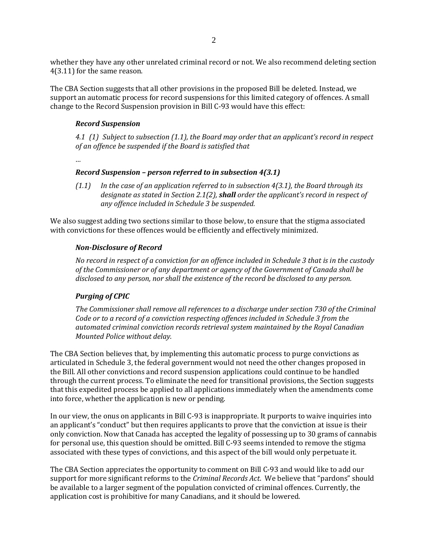whether they have any other unrelated criminal record or not. We also recommend deleting section 4(3.11) for the same reason.

The CBA Section suggests that all other provisions in the proposed Bill be deleted. Instead, we support an automatic process for record suspensions for this limited category of offences. A small change to the Record Suspension provision in Bill C-93 would have this effect:

#### *Record Suspension*

*4.1 (1) Subject to subsection (1.1), the Board may order that an applicant's record in respect of an offence be suspended if the Board is satisfied that*

*…*

#### *Record Suspension – person referred to in subsection 4(3.1)*

*(1.1) In the case of an application referred to in subsection 4(3.1), the Board through its designate as stated in Section 2.1(2), shall order the applicant's record in respect of any offence included in Schedule 3 be suspended.* 

We also suggest adding two sections similar to those below, to ensure that the stigma associated with convictions for these offences would be efficiently and effectively minimized.

### *Non-Disclosure of Record*

*No record in respect of a conviction for an offence included in Schedule 3 that is in the custody of the Commissioner or of any department or agency of the Government of Canada shall be disclosed to any person, nor shall the existence of the record be disclosed to any person.*

## *Purging of CPIC*

*The Commissioner shall remove all references to a discharge under section 730 of the Criminal Code or to a record of a conviction respecting offences included in Schedule 3 from the automated criminal conviction records retrieval system maintained by the Royal Canadian Mounted Police without delay.*

The CBA Section believes that, by implementing this automatic process to purge convictions as articulated in Schedule 3, the federal government would not need the other changes proposed in the Bill. All other convictions and record suspension applications could continue to be handled through the current process. To eliminate the need for transitional provisions, the Section suggests that this expedited process be applied to all applications immediately when the amendments come into force, whether the application is new or pending.

In our view, the onus on applicants in Bill C-93 is inappropriate. It purports to waive inquiries into an applicant's "conduct" but then requires applicants to prove that the conviction at issue is their only conviction. Now that Canada has accepted the legality of possessing up to 30 grams of cannabis for personal use, this question should be omitted. Bill C-93 seems intended to remove the stigma associated with these types of convictions, and this aspect of the bill would only perpetuate it.

The CBA Section appreciates the opportunity to comment on Bill C-93 and would like to add our support for more significant reforms to the *Criminal Records Act*. We believe that "pardons" should be available to a larger segment of the population convicted of criminal offences. Currently, the application cost is prohibitive for many Canadians, and it should be lowered.